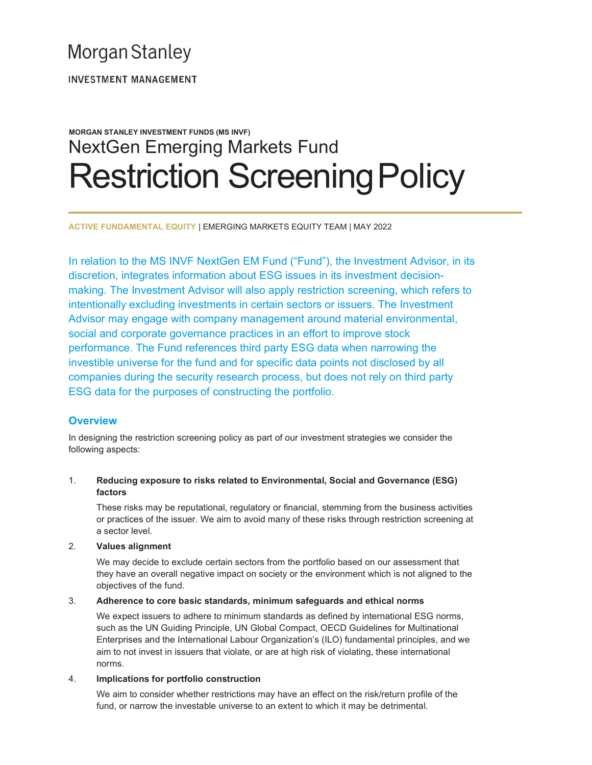# **Morgan Stanley**

**INVESTMENT MANAGEMENT** 

# MORGAN STANLEY INVESTMENT FUNDS (MS INVF) NextGen Emerging Markets Fund Restriction Screening Policy

ACTIVE FUNDAMENTAL EQUITY | EMERGING MARKETS EQUITY TEAM | MAY 2022

In relation to the MS INVF NextGen EM Fund ("Fund"), the Investment Advisor, in its discretion, integrates information about ESG issues in its investment decisionmaking. The Investment Advisor will also apply restriction screening, which refers to intentionally excluding investments in certain sectors or issuers. The Investment Advisor may engage with company management around material environmental, social and corporate governance practices in an effort to improve stock performance. The Fund references third party ESG data when narrowing the investible universe for the fund and for specific data points not disclosed by all companies during the security research process, but does not rely on third party ESG data for the purposes of constructing the portfolio.

# **Overview**

In designing the restriction screening policy as part of our investment strategies we consider the following aspects:

# 1. Reducing exposure to risks related to Environmental, Social and Governance (ESG) factors

These risks may be reputational, regulatory or financial, stemming from the business activities or practices of the issuer. We aim to avoid many of these risks through restriction screening at a sector level.

#### 2. Values alignment

We may decide to exclude certain sectors from the portfolio based on our assessment that they have an overall negative impact on society or the environment which is not aligned to the objectives of the fund.

#### 3. Adherence to core basic standards, minimum safeguards and ethical norms

We expect issuers to adhere to minimum standards as defined by international ESG norms, such as the UN Guiding Principle, UN Global Compact, OECD Guidelines for Multinational Enterprises and the International Labour Organization's (ILO) fundamental principles, and we aim to not invest in issuers that violate, or are at high risk of violating, these international norms.

#### 4. Implications for portfolio construction

We aim to consider whether restrictions may have an effect on the risk/return profile of the fund, or narrow the investable universe to an extent to which it may be detrimental.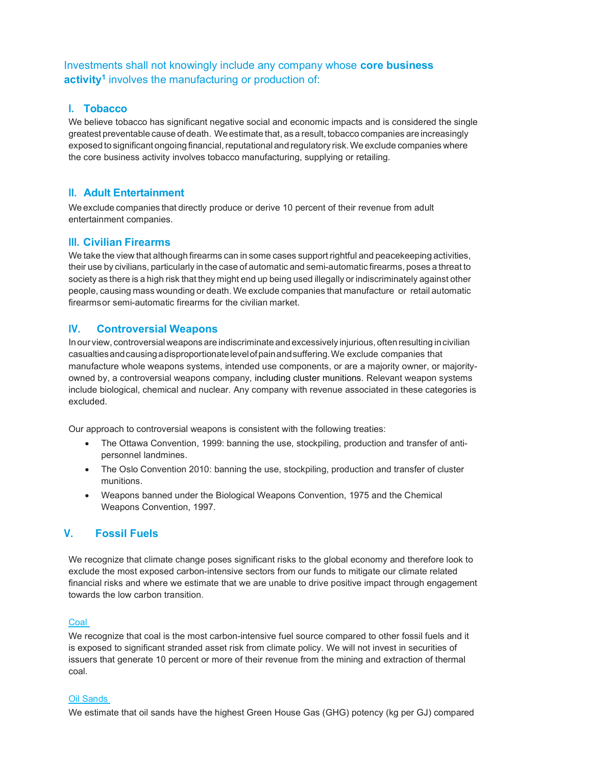# Investments shall not knowingly include any company whose core business activity<sup>1</sup> involves the manufacturing or production of:

# I. Tobacco

We believe tobacco has significant negative social and economic impacts and is considered the single greatest preventable cause of death. We estimate that, as a result, tobacco companies are increasingly exposed to significant ongoing financial, reputational and regulatory risk. We exclude companies where the core business activity involves tobacco manufacturing, supplying or retailing.

## II. Adult Entertainment

We exclude companies that directly produce or derive 10 percent of their revenue from adult entertainment companies.

# III. Civilian Firearms

We take the view that although firearms can in some cases support rightful and peacekeeping activities, their use by civilians, particularly in the case of automatic and semi-automatic firearms, poses a threat to society as there is a high risk that they might end up being used illegally or indiscriminately against other people, causing mass wounding or death. We exclude companies that manufacture or retail automatic firearms or semi-automatic firearms for the civilian market.

# IV. Controversial Weapons

In our view, controversial weapons are indiscriminate and excessively injurious, often resulting in civilian casualties and causing a disproportionate level of pain and suffering. We exclude companies that manufacture whole weapons systems, intended use components, or are a majority owner, or majorityowned by, a controversial weapons company, including cluster munitions. Relevant weapon systems include biological, chemical and nuclear. Any company with revenue associated in these categories is excluded.

Our approach to controversial weapons is consistent with the following treaties:

- The Ottawa Convention, 1999: banning the use, stockpiling, production and transfer of antipersonnel landmines.
- The Oslo Convention 2010: banning the use, stockpiling, production and transfer of cluster munitions.
- Weapons banned under the Biological Weapons Convention, 1975 and the Chemical Weapons Convention, 1997.

# V. Fossil Fuels

We recognize that climate change poses significant risks to the global economy and therefore look to exclude the most exposed carbon-intensive sectors from our funds to mitigate our climate related financial risks and where we estimate that we are unable to drive positive impact through engagement towards the low carbon transition.

#### Coal

We recognize that coal is the most carbon-intensive fuel source compared to other fossil fuels and it is exposed to significant stranded asset risk from climate policy. We will not invest in securities of issuers that generate 10 percent or more of their revenue from the mining and extraction of thermal coal.

#### Oil Sands

We estimate that oil sands have the highest Green House Gas (GHG) potency (kg per GJ) compared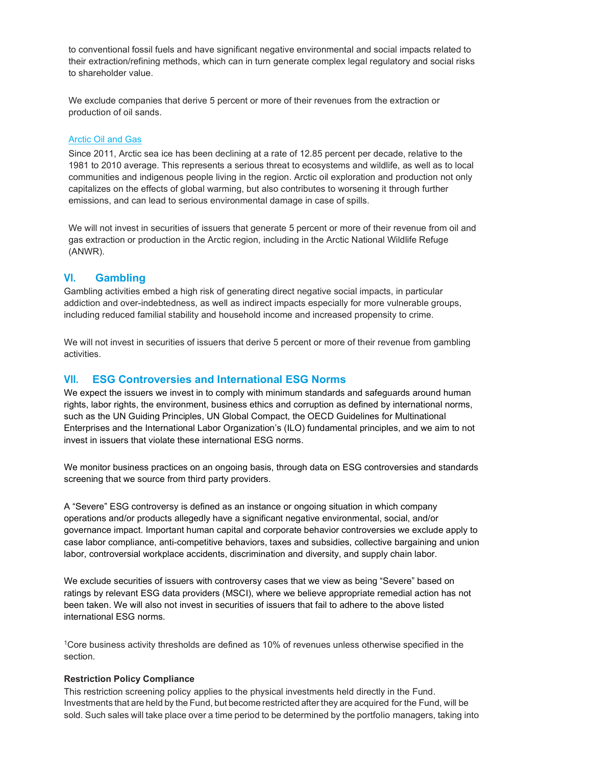to conventional fossil fuels and have significant negative environmental and social impacts related to their extraction/refining methods, which can in turn generate complex legal regulatory and social risks to shareholder value.

We exclude companies that derive 5 percent or more of their revenues from the extraction or production of oil sands.

#### Arctic Oil and Gas

Since 2011, Arctic sea ice has been declining at a rate of 12.85 percent per decade, relative to the 1981 to 2010 average. This represents a serious threat to ecosystems and wildlife, as well as to local communities and indigenous people living in the region. Arctic oil exploration and production not only capitalizes on the effects of global warming, but also contributes to worsening it through further emissions, and can lead to serious environmental damage in case of spills.

We will not invest in securities of issuers that generate 5 percent or more of their revenue from oil and gas extraction or production in the Arctic region, including in the Arctic National Wildlife Refuge (ANWR).

#### VI. Gambling

Gambling activities embed a high risk of generating direct negative social impacts, in particular addiction and over-indebtedness, as well as indirect impacts especially for more vulnerable groups, including reduced familial stability and household income and increased propensity to crime.

We will not invest in securities of issuers that derive 5 percent or more of their revenue from gambling activities.

# VII. ESG Controversies and International ESG Norms

We expect the issuers we invest in to comply with minimum standards and safeguards around human rights, labor rights, the environment, business ethics and corruption as defined by international norms, such as the UN Guiding Principles, UN Global Compact, the OECD Guidelines for Multinational Enterprises and the International Labor Organization's (ILO) fundamental principles, and we aim to not invest in issuers that violate these international ESG norms.

We monitor business practices on an ongoing basis, through data on ESG controversies and standards screening that we source from third party providers.

A "Severe" ESG controversy is defined as an instance or ongoing situation in which company operations and/or products allegedly have a significant negative environmental, social, and/or governance impact. Important human capital and corporate behavior controversies we exclude apply to case labor compliance, anti-competitive behaviors, taxes and subsidies, collective bargaining and union labor, controversial workplace accidents, discrimination and diversity, and supply chain labor.

We exclude securities of issuers with controversy cases that we view as being "Severe" based on ratings by relevant ESG data providers (MSCI), where we believe appropriate remedial action has not been taken. We will also not invest in securities of issuers that fail to adhere to the above listed international ESG norms.

<sup>1</sup>Core business activity thresholds are defined as 10% of revenues unless otherwise specified in the section.

#### Restriction Policy Compliance

This restriction screening policy applies to the physical investments held directly in the Fund. Investments that are held by the Fund, but become restricted after they are acquired for the Fund, will be sold. Such sales will take place over a time period to be determined by the portfolio managers, taking into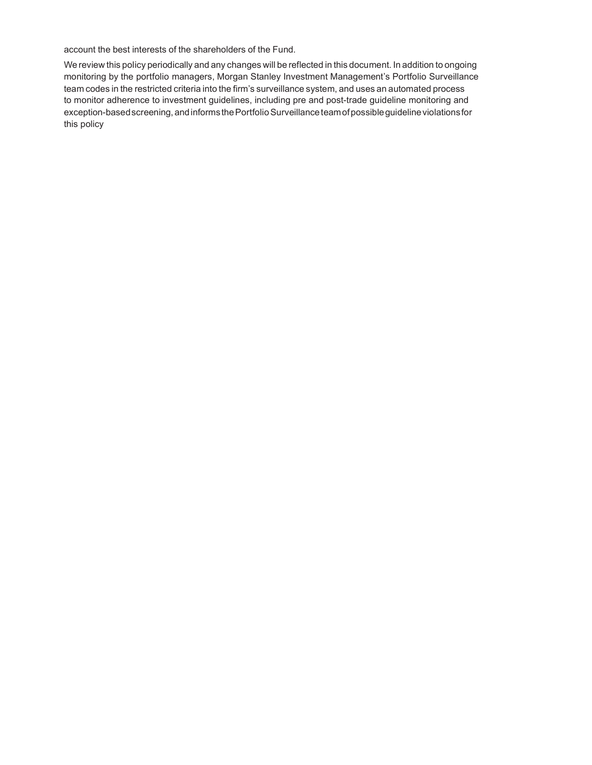account the best interests of the shareholders of the Fund.

We review this policy periodically and any changes will be reflected in this document. In addition to ongoing monitoring by the portfolio managers, Morgan Stanley Investment Management's Portfolio Surveillance team codes in the restricted criteria into the firm's surveillance system, and uses an automated process to monitor adherence to investment guidelines, including pre and post-trade guideline monitoring and exception-based screening, and informs the Portfolio Surveillance team of possible guideline violations for this policy